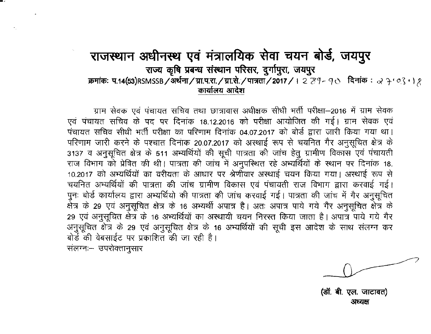## राजस्थान अधीनस्थ एवं मंत्रालयिक सेवा चयन बोर्ड, जयपुर <u>राज्य कृषि प्रबन्ध संस्थान परिसर, दुर्गापुरा, जयपुर</u> **क्रमांकः प.14(53)RSMSSB/अर्थना/ग्रा.प.रा./ग्रा.से./पात्रता/2017/। 2 79-90 दिनांकः २२. १०२९ । १** कार्यालय आदेश

ग्राम सेवक एवं पंचायत सचिव तथा छात्रावास अधीक्षक सीधी भर्ती परीक्षा-2016 में ग्राम सेवक एवं पंचायत सचिव के पद पर दिनांक 18.12.2016 को परीक्षा आयोजित की गई। ग्राम सेवक एवं पंचायत सचिव सीधी भर्ती परीक्षा का परिणाम दिनांक 04.07.2017 को बोर्ड द्वारा जारी किया गया था। परिणाम जारी करने के पश्चात दिनांक 20.07.2017 को अस्थाई रूप से चयनित गैर अनुसूचित क्षेत्र के 3137 व अनुसूचित क्षेत्र के 511 अभ्यर्थियों की सूची पात्रता की जांच हेतु ग्रामीण विकास एवं पंचायती राज विभाग को प्रेषित की थी। पात्रता की जांच में अनुपस्थित रहे अभ्यर्थियों के स्थान पर दिनांक 18. 10.2017 को अभ्यर्थियों का वरीयता के आधार पर श्रेणीवार अस्थाई चयन किया गया। अस्थाई रूप से चयनित अभ्यर्थियों की पात्रता की जांच ग्रामीण विकास एवं पंचायती राज विभाग द्वारा करवाई गई। पुनः बोर्ड कार्यालय द्वारा अभ्यर्थियो की पात्रता की जांच करवाई गई। पात्रता की जांच में गैर अनुसूचित क्षेत्र के 29 एवं अनुसूचित क्षेत्र के 16 अभ्यर्थी अपात्र है। अतः अपात्र पाये गये गैर अनुसूचित क्षेत्र के 29 एवं अनुसूचित क्षेत्र के 16 अभ्यर्थियों का अस्थायी चयन निरस्त किया जाता है। अपात्र पाये गये गैर अनुसूचित क्षेत्र के 29 एवं अनुसूचित क्षेत्र के 16 अभ्यर्थियों की सूची इस आदेश के साथ संलग्न कर बोर्ड की वेबसाईट पर प्रकाशित की जा रही है।

'संलग्नः-- उपरोक्तानुसार

**~. ~. ~. \JIIClqt1)** अप्यक्ष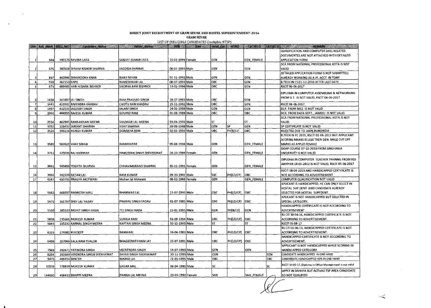| LIST OF INELIGIBLE CANDIDATES (ineligible NTSP) |              |              |                                 |                           |                           |  |                                                                                                                 |                |                   |     |                                                                                |
|-------------------------------------------------|--------------|--------------|---------------------------------|---------------------------|---------------------------|--|-----------------------------------------------------------------------------------------------------------------|----------------|-------------------|-----|--------------------------------------------------------------------------------|
|                                                 |              |              |                                 |                           | $\blacktriangleright$ bon |  | $\left  \cdot \right $ can $\left  \cdot \right $ final cat $\left  \cdot \right $ HORIZ $\left  \cdot \right $ |                | CATSEL CATSEL2    |     | <b>REMARKABLE PROPERTY OF BUILDING COMPANY</b><br><b>The State of Contract</b> |
|                                                 |              |              |                                 |                           |                           |  |                                                                                                                 |                |                   |     | QUALIFICATION AND COMPUTER SKILL RELATED                                       |
|                                                 |              |              |                                 |                           |                           |  |                                                                                                                 |                |                   |     | DOCUMENTES ARE NOT ATTACHED WITH DETAILED                                      |
| -1                                              | 644          |              | 290176 RAVINA LATA              | İSANJAY KUMAR LATA        | 15-01-1994 Female         |  | GEN                                                                                                             |                | <b>GEN_FEMALE</b> |     | <b>APPLICATION FORM</b>                                                        |
|                                                 |              |              |                                 |                           |                           |  |                                                                                                                 |                |                   |     | DCA FROM NATIONAL PROFESSIONAL KOTA IS NOT                                     |
|                                                 | 676          |              | 380504 SHYAM KISHOR SHARMA      | JAGDISH SHARMA            | 06-02-1993 Male           |  | GEN                                                                                                             |                | GEN               |     | VALID                                                                          |
|                                                 |              |              |                                 |                           |                           |  |                                                                                                                 |                |                   |     | DETAILED APPLICATION FORM IS NOT SUBMITTED.                                    |
|                                                 | 867          |              | 460944 SHYAROOKH KHAN           | <b>BABU MIYAN</b>         | 01-11-1992 Male           |  | GEN                                                                                                             |                | <b>GEN</b>        |     | ALREADY WORKING AS A JR, ACCT. IN TONK                                         |
| 4.                                              | 959          | 367153 KAPIL |                                 | RAMESHWAR LAL             | 08-07-1993 Male           |  | іовс                                                                                                            |                | lgen              |     | B.TECH IN CS 01-12-2016 AFTER LAST DATE                                        |
|                                                 | 973          |              | 489483 HARI KISHAN BISHNOI      | <b>SHOBHA RAM BISHNOI</b> | 13-01-1994 Male           |  | OBC                                                                                                             |                | GEN               |     | RSCIT 06-06-2017                                                               |
|                                                 |              |              |                                 |                           |                           |  |                                                                                                                 |                |                   |     | DIPLOMA IN COMPUTER ASSEMBLING & NETWORKING                                    |
|                                                 |              |              |                                 |                           |                           |  |                                                                                                                 |                |                   |     | FROM G.T. IS NOT VALID, RSCIT 06-06-2017                                       |
| -61                                             | 1438         |              | 341887 JAI SINGH                | RAM PRASHAD SINGH         | 18-07-1983 Male           |  | OBC                                                                                                             |                | İGEN              |     |                                                                                |
| -71                                             | 1441         |              | 423502 RAJENDRA KHADAV          | <b>CHOTU RAM KHADAV</b>   | 15-11-1992 Male           |  | OBC                                                                                                             |                | GEN               |     | RSCIT 06-06-2017                                                               |
| 81                                              | 1497         |              | 432531 JAGDISH SINGH            | <b>JALAM SINGH</b>        | 14-06-1988 Male           |  | GEN                                                                                                             |                | GEN               |     | DCA FROM NICE IS NOT VALID                                                     |
| 9                                               | 1902         |              | 464959 RAJESH KUMAR             | <b>GOVIND RAM</b>         | 01-08-1989 Male           |  | <b>OBC</b>                                                                                                      |                | OBC               |     | DCA FROM DATA SOFT., JAMMU IS NOT VALID                                        |
|                                                 |              |              |                                 |                           |                           |  |                                                                                                                 |                |                   |     | DCA FROM NATIONAL PROFESSIONAL KOTA IS NOT                                     |
| 10                                              | 2556         |              | 462945 RAMLAKHAN MEENA          | SHANKAR LAL MEENA         | 03-04-1993 Male           |  | ST                                                                                                              |                | ls T              |     | VALID                                                                          |
| 11                                              | 3352         |              | 126432 SUKANT SHARMA            | <b>VUAY SHARMA</b>        | 20-08-1988 Male           |  | GEN                                                                                                             | SP             | GEN               |     | SP CERTIFICATE IS NOT VALID                                                    |
| 12 <sub>1</sub>                                 | 3524         |              | 399216 ASHISH KUMAR             | <b>GORAKHA RAM</b>        | 02-02-1992 Male           |  | ОВС                                                                                                             | PH[B/LV]       | OBC               |     | REJECTED DUE TO 100% BLINDNESS                                                 |
|                                                 |              |              |                                 |                           |                           |  |                                                                                                                 |                |                   |     | B.TECH IN EC 2015, RSCIT 01-06-2013 BUT APPLICANT                              |
|                                                 |              |              |                                 |                           |                           |  |                                                                                                                 |                |                   |     | SCORING MARKS IS LESS THEN GEN. MALE CUT OFF                                   |
| 33                                              | 3589         |              | 502620 VIJAY SINGH              | <b>RAMAVATAR</b>          | 05-08-1994 Male           |  | GEN                                                                                                             |                | <b>GEN FEMALE</b> |     | MARKS AS APPLID FEMALE                                                         |
|                                                 |              |              |                                 |                           |                           |  |                                                                                                                 |                |                   |     | DOAP COURSE 07-10-2010 FROM SINGHANIA                                          |
| 34                                              | 3712         |              | 125039 RAJ KANWAR               | HANUMAN SINGH SHEKHAWAT   | 26-10-1989 Female         |  | GEN                                                                                                             |                | <b>GEN_FEMALE</b> |     | UNIVERSITY IS NOT VALID                                                        |
|                                                 |              |              |                                 |                           |                           |  |                                                                                                                 |                |                   |     | DIPLOMA IN COMPUTER TEACHER TRAINNG FROM RSS                                   |
|                                                 |              |              |                                 |                           |                           |  |                                                                                                                 |                |                   |     | ABHIYAN 14-05-2012 IS NOT VALID, RSCIT 05-08-2017                              |
| -151                                            | 3861         |              | 503496 YOGYTA SHARMA            | CHHAVIMUKAND SHARMA       | 05-11-1991 Female         |  | GEN                                                                                                             |                | <b>GEN_FEMALE</b> |     |                                                                                |
|                                                 |              |              | 392228 RATAN LAL                | RAM KUMAR                 | 09-10-1991 Male           |  | <b>SBC</b>                                                                                                      | PHILD/CPI      | OBC               |     | RSCIT 08-04-2013 AND HANDICAPPED CERTIFICATE IS                                |
| 16<br>17                                        | 3932<br>4347 |              | 450731 PRAGYA MOTWAN!           | Mohan lai Motwani         | 08-02-1988 Female         |  | GEN                                                                                                             |                | GEN_FEMALE        |     | NOT ACCORDING TO ADVERTISEMENT<br>COMPUTER QUALIFICATION NOT VALID             |
|                                                 |              |              |                                 |                           |                           |  |                                                                                                                 |                |                   |     | APLICANT IS HANDICAPPED. HE CAN ONLY SELECT IN                                 |
|                                                 |              |              |                                 |                           |                           |  |                                                                                                                 |                |                   |     | HOSTAL SUP DENT AND CANDIDATE ALREADY                                          |
| 18                                              | 5462         |              | 466697 RAMKESH MALL             | <b>BHANWAR LAL</b>        | 15-07-1995 Male           |  | <b>OBC</b>                                                                                                      | PH[LD/CP]      | іовс              |     | SELECTED FOR HOSTAL SUPEDENT.                                                  |
|                                                 |              |              |                                 |                           |                           |  |                                                                                                                 |                |                   |     | APLICANT IS NOT HANDICAPPED BUT SELECTED IN                                    |
| 19                                              | 5476         |              | 161707 SHIV LAL YADAV           | PRABHU SINGH YADAV        | 01-07-1983 Male           |  | OBC                                                                                                             | PHILD/CPI  OBC |                   |     | SPECIAL CATEGORY.                                                              |
|                                                 |              |              |                                 |                           |                           |  |                                                                                                                 |                |                   |     | <b>HANDICAPPED CERTIFICATE IS NOT ACCORDING TO</b>                             |
| 20                                              | 5530         |              | 385533 MOHIT SINGH HADA         | TEJ SINGH HADA            | 22-01-1995 Male           |  | GEN                                                                                                             | PH[B/LV]       | GEN               |     | AOVERTISEMENT                                                                  |
|                                                 |              |              |                                 |                           |                           |  |                                                                                                                 |                |                   |     | RS CIT 30-04-16, HANDICAPPED CERTIFICATE IS NOT                                |
| 21                                              | 5838         |              | 235601 MUKESH KUMAR             | SURAJA RAM                | 01-09-1994 Male           |  | OBC                                                                                                             | PH[LD/CP]      | іовс              |     | ACCORDING TO ADVERTISEMENT.                                                    |
| 22                                              | 5844         |              | 155232 KARNAL SINGH MEENA       | KAPTAN SINGH MEENA        | 30-10-1995 Male           |  | ST                                                                                                              |                | ls۳               |     | RSCIT 05-08-17                                                                 |
|                                                 |              |              |                                 |                           |                           |  |                                                                                                                 |                |                   |     | RS CIT 01-06-13, HANDICAPPED CERTIFICATE IS NOT                                |
| 23                                              | 6325         |              | 274682 KULDEEP                  | <b>BANWARI</b>            | 16-04-1983 Male           |  | OBC.                                                                                                            | PHILD/CPI      | јовс              |     | ACCORDING TO ADVERTISEMENT.                                                    |
|                                                 |              |              |                                 |                           |                           |  |                                                                                                                 |                |                   |     | HANDICAPPED CERTIFICATE IS NOT ACCORDING TO                                    |
| 24                                              | 6406         |              | 207066 LALA RAM THALOR          | BHAGEERATH RAM JAT        | 25-07-1991 Male           |  | OBC                                                                                                             | PHILD/CP]      | іовс              |     | ADVERTISEMENT.                                                                 |
|                                                 |              |              |                                 |                           |                           |  |                                                                                                                 |                |                   |     | APPLICANT IS NOT HANDICAPPED WHILE SCORING IN                                  |
| 25                                              | 7569         |              | 392671 YATINDRA SINGH           | <b>VEERENDRA SINGH</b>    | 14-07-1993 Male           |  | GEN                                                                                                             |                | GEN               |     | HANDICAPPED CATEGORY.                                                          |
| 26                                              | 8294         |              | 392669 VIRENDRA SINGH SHEKHAWAT | SAYAR SINGH SHEKHAWAT     | 30-11-1993 Maie           |  | GEN                                                                                                             |                |                   | GEN | CANDIDATE HANDICAPPED IN ONE HAND                                              |
| 27                                              | 9473         |              | 466454 DINESH                   | MANGI LAL                 | 21-01-1995 Male           |  | OBC                                                                                                             |                |                   | OBC | CANDI9DATE HANDICAPPED 45% IN ONE HAND                                         |
|                                                 |              |              |                                 |                           |                           |  |                                                                                                                 |                |                   |     | RSCIT 19-05-17. Diploma in Office Management is not valid                      |
| 28)                                             | 10539        |              | 378818 MUKESH KUMAR             | SAGAR MAL                 | 06-04-1991 Male           |  | SC                                                                                                              |                |                   | SC  |                                                                                |
|                                                 |              |              |                                 |                           |                           |  | SAH                                                                                                             |                |                   |     | APPLY IN SAHRIYA BUT ACTUALI TSP AREA CANDIDATE                                |
| 29                                              | 144650       |              | 496413 BHARTI MEENA             | PANNA LAL MEENA           | 20-05-1992 Female         |  |                                                                                                                 |                | ISAH FEMALE       |     | <b>ISO NOT QUALIFIED</b>                                                       |

 $\sqrt{C}$ 

## DIRECT JOINT RECRUITMENT OF GRAM SEVAK AND HOSTEL SUPERINTENDENT-2016

 $\sim 10^{-1}$ 

 $\sim 10^{-1}$ 

 $\sim 10^{-1}$ 

GRAM SEV.